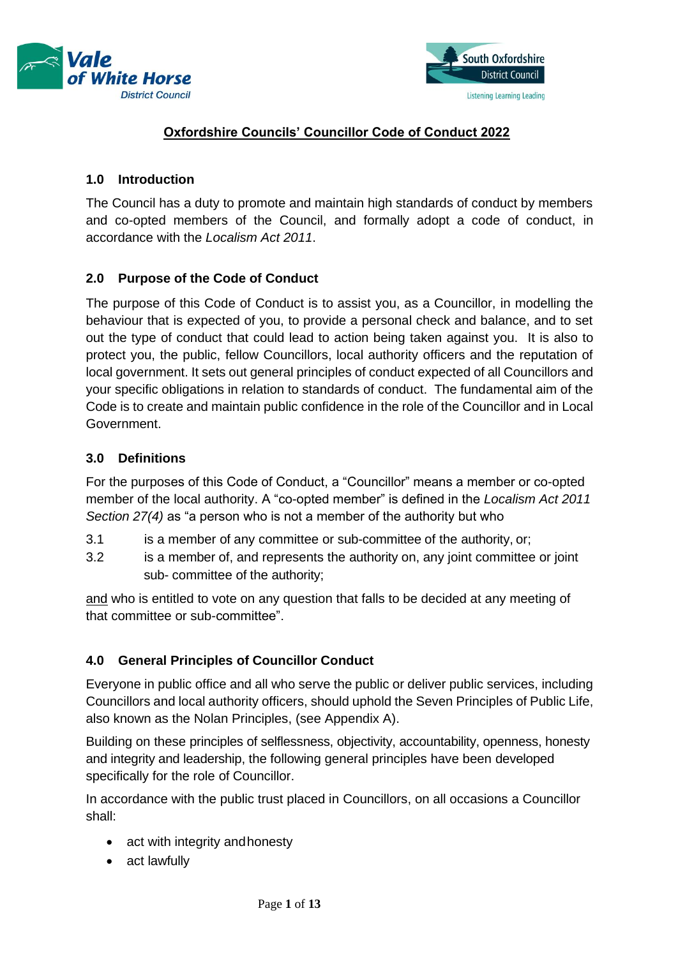



# **Oxfordshire Councils' Councillor Code of Conduct 2022**

# **1.0 Introduction**

The Council has a duty to promote and maintain high standards of conduct by members and co-opted members of the Council, and formally adopt a code of conduct, in accordance with the *Localism Act 2011*.

# **2.0 Purpose of the Code of Conduct**

The purpose of this Code of Conduct is to assist you, as a Councillor, in modelling the behaviour that is expected of you, to provide a personal check and balance, and to set out the type of conduct that could lead to action being taken against you. It is also to protect you, the public, fellow Councillors, local authority officers and the reputation of local government. It sets out general principles of conduct expected of all Councillors and your specific obligations in relation to standards of conduct. The fundamental aim of the Code is to create and maintain public confidence in the role of the Councillor and in Local Government.

## **3.0 Definitions**

For the purposes of this Code of Conduct, a "Councillor" means a member or co-opted member of the local authority. A "co-opted member" is defined in the *Localism Act 2011 Section 27(4)* as "a person who is not a member of the authority but who

- 3.1 is a member of any committee or sub-committee of the authority, or;
- 3.2 is a member of, and represents the authority on, any joint committee or joint sub- committee of the authority;

and who is entitled to vote on any question that falls to be decided at any meeting of that committee or sub-committee".

# **4.0 General Principles of Councillor Conduct**

Everyone in public office and all who serve the public or deliver public services, including Councillors and local authority officers, should uphold the Seven Principles of Public Life[,](https://www.gov.uk/government/publications/the-7-principles-of-public-life/the-7-principles-of-public-life--2) also known as the Nolan Principles, (see Appendix A).

Building on these principles of selflessness, objectivity, accountability, openness, honesty and integrity and leadership, the following general principles have been developed specifically for the role of Councillor.

In accordance with the public trust placed in Councillors, on all occasions a Councillor shall:

- act with integrity and honesty
- act lawfully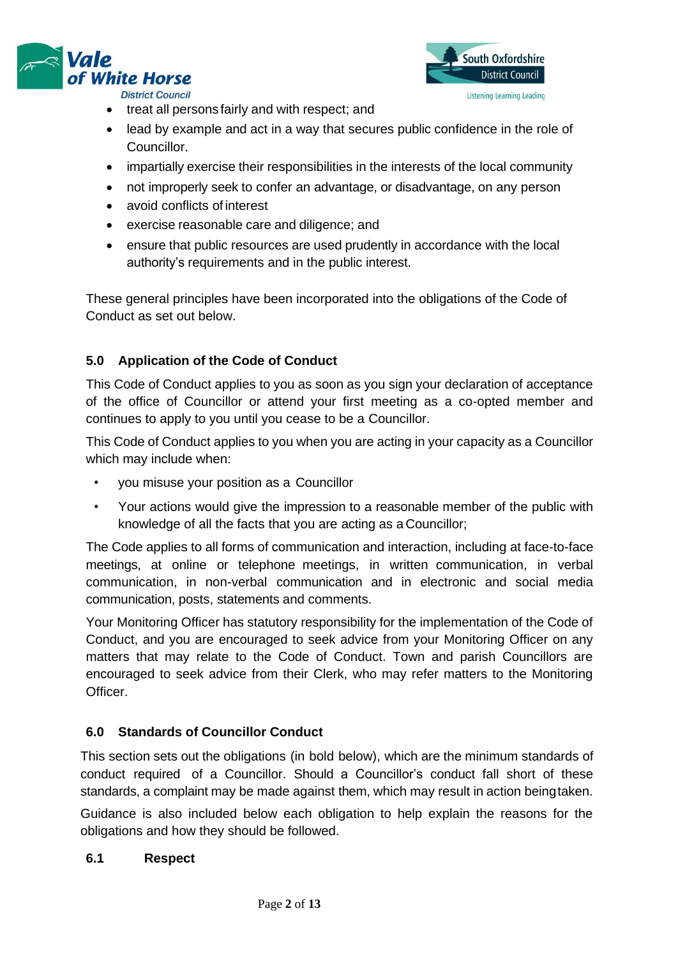



- treat all persons fairly and with respect; and
- lead by example and act in a way that secures public confidence in the role of Councillor.
- impartially exercise their responsibilities in the interests of the local community
- not improperly seek to confer an advantage, or disadvantage, on any person
- avoid conflicts of interest
- exercise reasonable care and diligence; and
- ensure that public resources are used prudently in accordance with the local authority's requirements and in the public interest.

These general principles have been incorporated into the obligations of the Code of Conduct as set out below.

## **5.0 Application of the Code of Conduct**

This Code of Conduct applies to you as soon as you sign your declaration of acceptance of the office of Councillor or attend your first meeting as a co-opted member and continues to apply to you until you cease to be a Councillor.

This Code of Conduct applies to you when you are acting in your capacity as a Councillor which may include when:

- you misuse your position as a Councillor
- Your actions would give the impression to a reasonable member of the public with knowledge of all the facts that you are acting as a Councillor;

The Code applies to all forms of communication and interaction, including at face-to-face meetings, at online or telephone meetings, in written communication, in verbal communication, in non-verbal communication and in electronic and social media communication, posts, statements and comments.

Your Monitoring Officer has statutory responsibility for the implementation of the Code of Conduct, and you are encouraged to seek advice from your Monitoring Officer on any matters that may relate to the Code of Conduct. Town and parish Councillors are encouraged to seek advice from their Clerk, who may refer matters to the Monitoring Officer.

## **6.0 Standards of Councillor Conduct**

This section sets out the obligations (in bold below), which are the minimum standards of conduct required of a Councillor. Should a Councillor's conduct fall short of these standards, a complaint may be made against them, which may result in action beingtaken.

Guidance is also included below each obligation to help explain the reasons for the obligations and how they should be followed.

#### **6.1 Respect**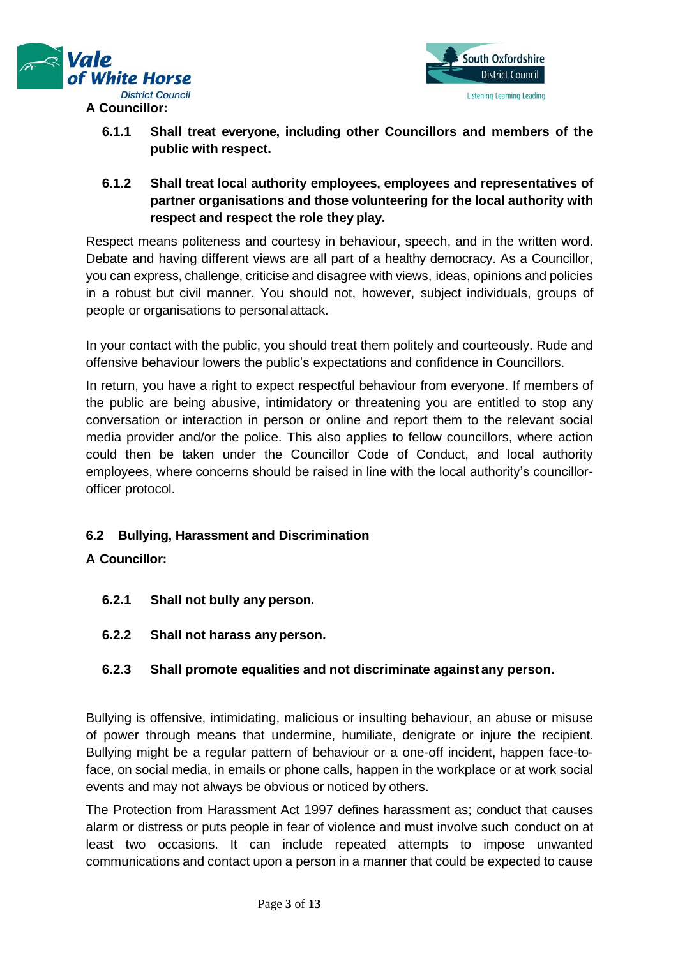



- **6.1.1 Shall treat everyone, including other Councillors and members of the public with respect.**
- **6.1.2 Shall treat local authority employees, employees and representatives of partner organisations and those volunteering for the local authority with respect and respect the role they play.**

Respect means politeness and courtesy in behaviour, speech, and in the written word. Debate and having different views are all part of a healthy democracy. As a Councillor, you can express, challenge, criticise and disagree with views, ideas, opinions and policies in a robust but civil manner. You should not, however, subject individuals, groups of people or organisations to personal attack.

In your contact with the public, you should treat them politely and courteously. Rude and offensive behaviour lowers the public's expectations and confidence in Councillors.

In return, you have a right to expect respectful behaviour from everyone. If members of the public are being abusive, intimidatory or threatening you are entitled to stop any conversation or interaction in person or online and report them to the relevant social media provider and/or the police. This also applies to fellow councillors, where action could then be taken under the Councillor Code of Conduct, and local authority employees, where concerns should be raised in line with the local authority's councillorofficer protocol.

# **6.2 Bullying, Harassment and Discrimination**

## **A Councillor:**

- **6.2.1 Shall not bully any person.**
- **6.2.2 Shall not harass anyperson.**

## **6.2.3 Shall promote equalities and not discriminate againstany person.**

Bullying is offensive, intimidating, malicious or insulting behaviour, an abuse or misuse of power through means that undermine, humiliate, denigrate or injure the recipient. Bullying might be a regular pattern of behaviour or a one-off incident, happen face-toface, on social media, in emails or phone calls, happen in the workplace or at work social events and may not always be obvious or noticed by others.

The Protection from Harassment Act 1997 defines harassment as; conduct that causes alarm or distress or puts people in fear of violence and must involve such conduct on at least two occasions. It can include repeated attempts to impose unwanted communications and contact upon a person in a manner that could be expected to cause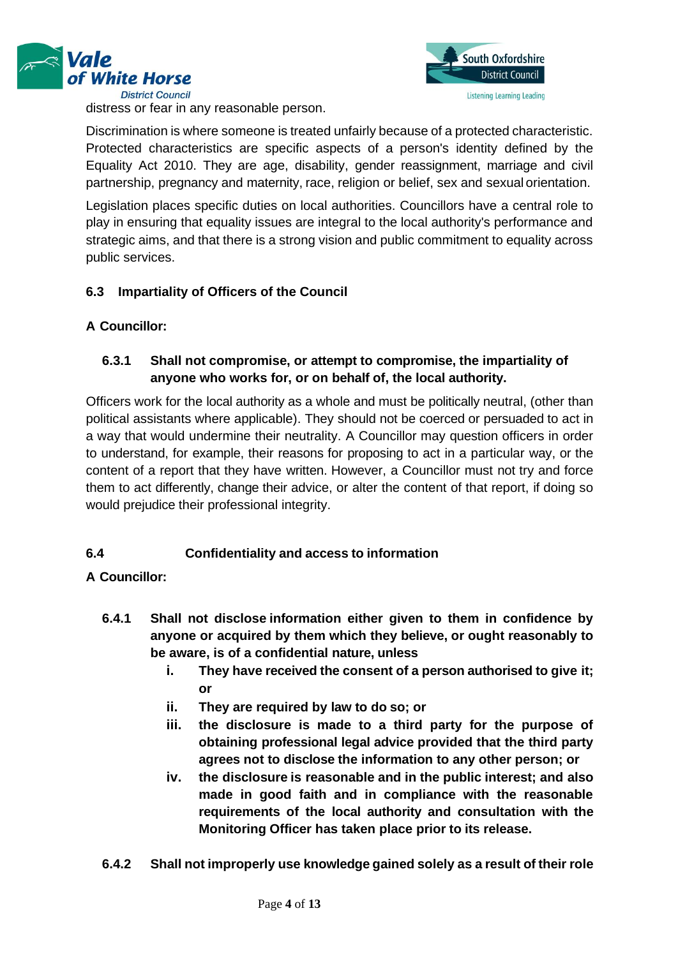





Discrimination is where someone is treated unfairly because of a protected characteristic. Protected characteristics are specific aspects of a person's identity defined by the Equality Act 2010. They are age, disability, gender reassignment, marriage and civil partnership, pregnancy and maternity, race, religion or belief, sex and sexual orientation.

Legislation places specific duties on local authorities. Councillors have a central role to play in ensuring that equality issues are integral to the local authority's performance and strategic aims, and that there is a strong vision and public commitment to equality across public services.

# **6.3 Impartiality of Officers of the Council**

# **A Councillor:**

# **6.3.1 Shall not compromise, or attempt to compromise, the impartiality of anyone who works for, or on behalf of, the local authority.**

Officers work for the local authority as a whole and must be politically neutral, (other than political assistants where applicable). They should not be coerced or persuaded to act in a way that would undermine their neutrality. A Councillor may question officers in order to understand, for example, their reasons for proposing to act in a particular way, or the content of a report that they have written. However, a Councillor must not try and force them to act differently, change their advice, or alter the content of that report, if doing so would prejudice their professional integrity.

# **6.4 Confidentiality and access to information**

# **A Councillor:**

- **6.4.1 Shall not disclose information either given to them in confidence by anyone or acquired by them which they believe, or ought reasonably to be aware, is of a confidential nature, unless**
	- **i. They have received the consent of a person authorised to give it; or**
	- **ii. They are required by law to do so; or**
	- **iii. the disclosure is made to a third party for the purpose of obtaining professional legal advice provided that the third party agrees not to disclose the information to any other person; or**
	- **iv. the disclosure is reasonable and in the public interest; and also made in good faith and in compliance with the reasonable requirements of the local authority and consultation with the Monitoring Officer has taken place prior to its release.**
- **6.4.2 Shall not improperly use knowledge gained solely as a result of their role**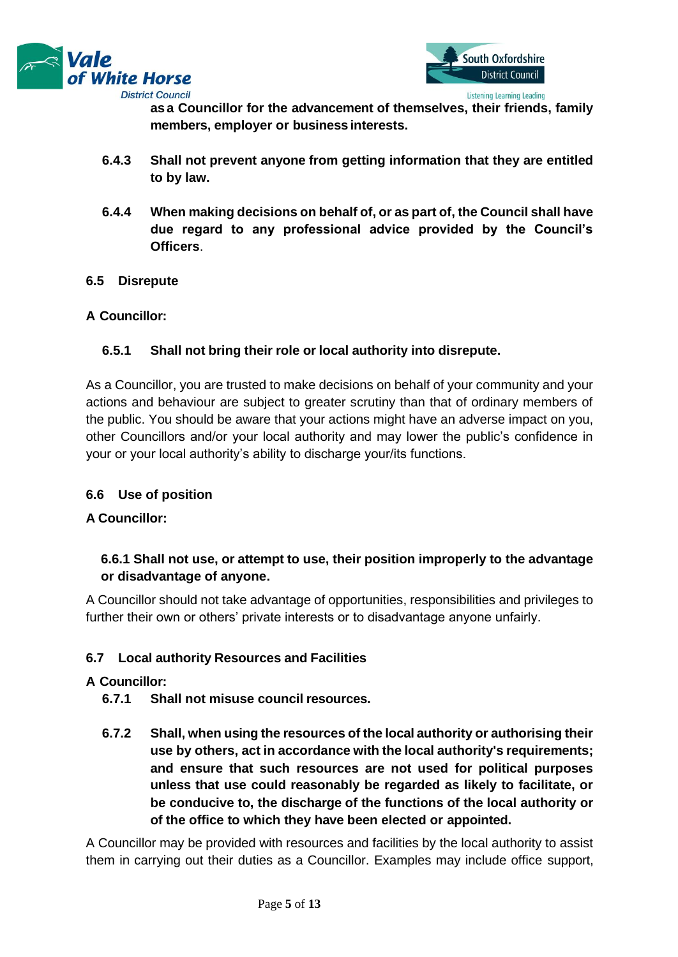



**as a Councillor for the advancement of themselves, their friends, family members, employer or business interests.**

- **6.4.3 Shall not prevent anyone from getting information that they are entitled to by law.**
- **6.4.4 When making decisions on behalf of, or as part of, the Council shall have due regard to any professional advice provided by the Council's Officers**.

### **6.5 Disrepute**

### **A Councillor:**

## **6.5.1 Shall not bring their role or local authority into disrepute.**

As a Councillor, you are trusted to make decisions on behalf of your community and your actions and behaviour are subject to greater scrutiny than that of ordinary members of the public. You should be aware that your actions might have an adverse impact on you, other Councillors and/or your local authority and may lower the public's confidence in your or your local authority's ability to discharge your/its functions.

#### **6.6 Use of position**

#### **A Councillor:**

# **6.6.1 Shall not use, or attempt to use, their position improperly to the advantage or disadvantage of anyone.**

A Councillor should not take advantage of opportunities, responsibilities and privileges to further their own or others' private interests or to disadvantage anyone unfairly.

## **6.7 Local authority Resources and Facilities**

#### **A Councillor:**

- **6.7.1 Shall not misuse council resources.**
- **6.7.2 Shall, when using the resources of the local authority or authorising their use by others, act in accordance with the local authority's requirements; and ensure that such resources are not used for political purposes unless that use could reasonably be regarded as likely to facilitate, or be conducive to, the discharge of the functions of the local authority or of the office to which they have been elected or appointed.**

A Councillor may be provided with resources and facilities by the local authority to assist them in carrying out their duties as a Councillor. Examples may include office support,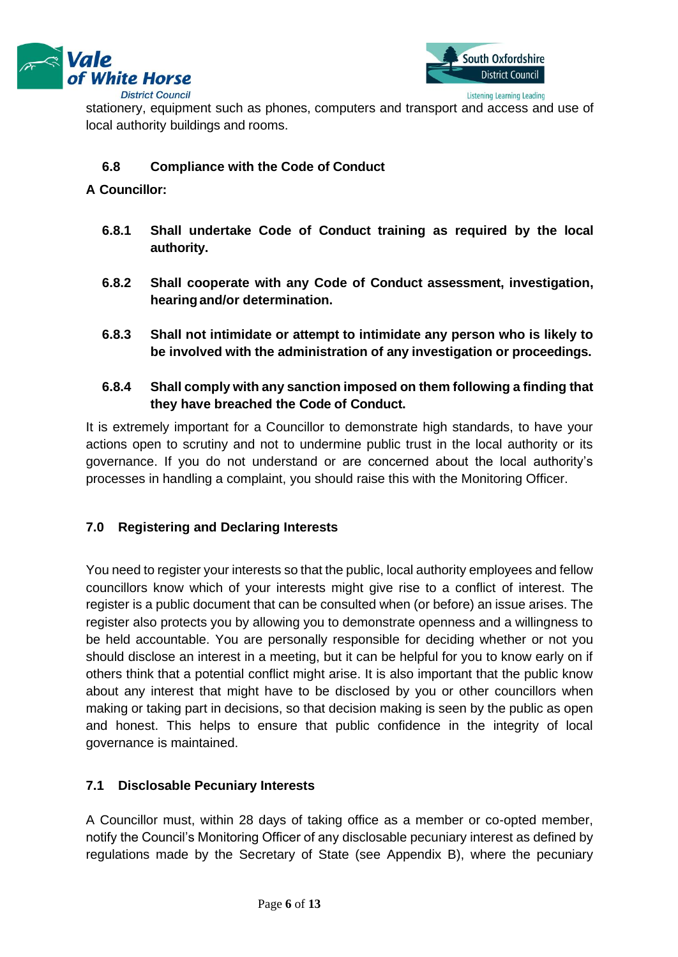



stationery, equipment such as phones, computers and transport and access and use of local authority buildings and rooms.

## **6.8 Compliance with the Code of Conduct**

#### **A Councillor:**

- **6.8.1 Shall undertake Code of Conduct training as required by the local authority.**
- **6.8.2 Shall cooperate with any Code of Conduct assessment, investigation, hearingand/or determination.**
- **6.8.3 Shall not intimidate or attempt to intimidate any person who is likely to be involved with the administration of any investigation or proceedings.**
- **6.8.4 Shall comply with any sanction imposed on them following a finding that they have breached the Code of Conduct.**

It is extremely important for a Councillor to demonstrate high standards, to have your actions open to scrutiny and not to undermine public trust in the local authority or its governance. If you do not understand or are concerned about the local authority's processes in handling a complaint, you should raise this with the Monitoring Officer.

## **7.0 Registering and Declaring Interests**

You need to register your interests so that the public, local authority employees and fellow councillors know which of your interests might give rise to a conflict of interest. The register is a public document that can be consulted when (or before) an issue arises. The register also protects you by allowing you to demonstrate openness and a willingness to be held accountable. You are personally responsible for deciding whether or not you should disclose an interest in a meeting, but it can be helpful for you to know early on if others think that a potential conflict might arise. It is also important that the public know about any interest that might have to be disclosed by you or other councillors when making or taking part in decisions, so that decision making is seen by the public as open and honest. This helps to ensure that public confidence in the integrity of local governance is maintained.

#### **7.1 Disclosable Pecuniary Interests**

A Councillor must, within 28 days of taking office as a member or co-opted member, notify the Council's Monitoring Officer of any disclosable pecuniary interest as defined by regulations made by the Secretary of State (see Appendix B), where the pecuniary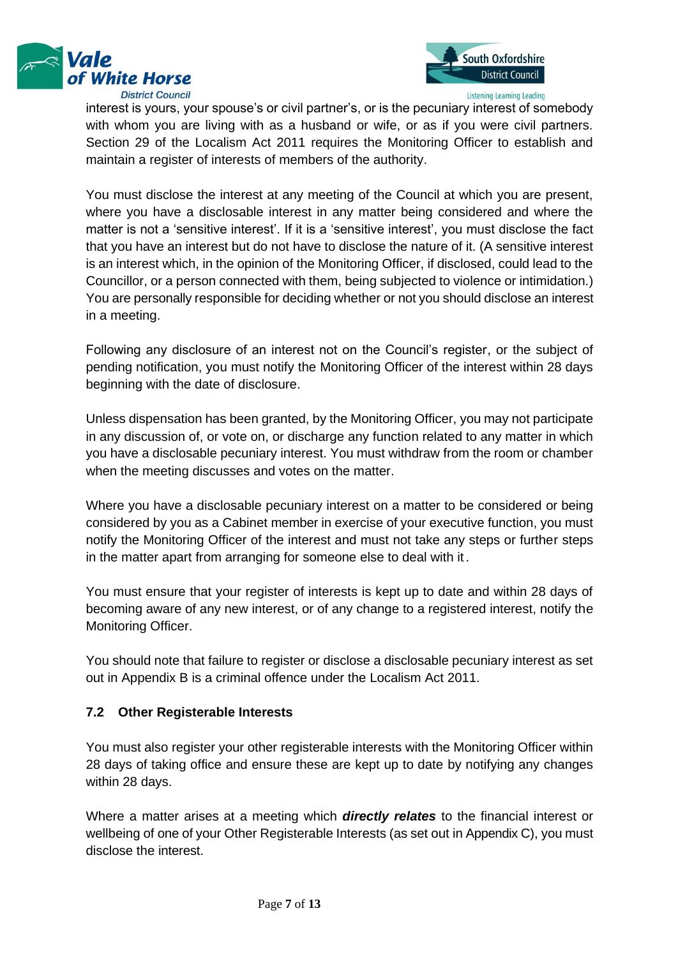



interest is yours, your spouse's or civil partner's, or is the pecuniary interest of somebody with whom you are living with as a husband or wife, or as if you were civil partners. Section 29 of the Localism Act 2011 requires the Monitoring Officer to establish and maintain a register of interests of members of the authority.

You must disclose the interest at any meeting of the Council at which you are present, where you have a disclosable interest in any matter being considered and where the matter is not a 'sensitive interest'. If it is a 'sensitive interest', you must disclose the fact that you have an interest but do not have to disclose the nature of it. (A sensitive interest is an interest which, in the opinion of the Monitoring Officer, if disclosed, could lead to the Councillor, or a person connected with them, being subjected to violence or intimidation.) You are personally responsible for deciding whether or not you should disclose an interest in a meeting.

Following any disclosure of an interest not on the Council's register, or the subject of pending notification, you must notify the Monitoring Officer of the interest within 28 days beginning with the date of disclosure.

Unless dispensation has been granted, by the Monitoring Officer, you may not participate in any discussion of, or vote on, or discharge any function related to any matter in which you have a disclosable pecuniary interest. You must withdraw from the room or chamber when the meeting discusses and votes on the matter.

Where you have a disclosable pecuniary interest on a matter to be considered or being considered by you as a Cabinet member in exercise of your executive function, you must notify the Monitoring Officer of the interest and must not take any steps or further steps in the matter apart from arranging for someone else to deal with it .

You must ensure that your register of interests is kept up to date and within 28 days of becoming aware of any new interest, or of any change to a registered interest, notify the Monitoring Officer.

You should note that failure to register or disclose a disclosable pecuniary interest as set out in Appendix B is a criminal offence under the Localism Act 2011.

## **7.2 Other Registerable Interests**

You must also register your other registerable interests with the Monitoring Officer within 28 days of taking office and ensure these are kept up to date by notifying any changes within 28 days.

Where a matter arises at a meeting which *directly relates* to the financial interest or wellbeing of one of your Other Registerable Interests (as set out in Appendix C), you must disclose the interest.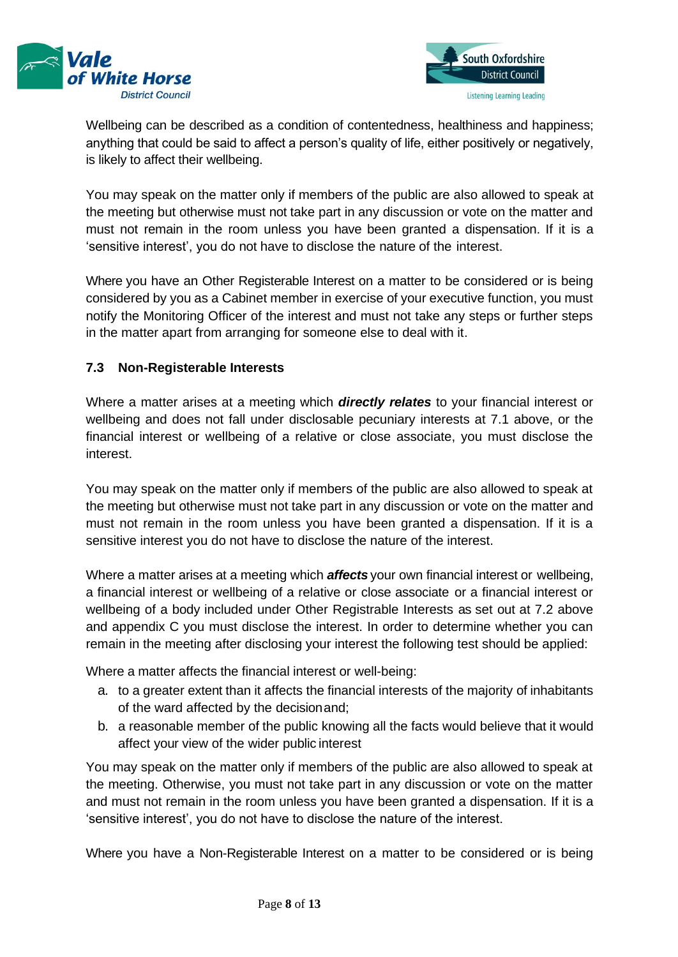



Wellbeing can be described as a condition of contentedness, healthiness and happiness; anything that could be said to affect a person's quality of life, either positively or negatively, is likely to affect their wellbeing.

You may speak on the matter only if members of the public are also allowed to speak at the meeting but otherwise must not take part in any discussion or vote on the matter and must not remain in the room unless you have been granted a dispensation. If it is a 'sensitive interest', you do not have to disclose the nature of the interest.

Where you have an Other Registerable Interest on a matter to be considered or is being considered by you as a Cabinet member in exercise of your executive function, you must notify the Monitoring Officer of the interest and must not take any steps or further steps in the matter apart from arranging for someone else to deal with it.

# **7.3 Non-Registerable Interests**

Where a matter arises at a meeting which *directly relates* to your financial interest or wellbeing and does not fall under disclosable pecuniary interests at 7.1 above, or the financial interest or wellbeing of a relative or close associate, you must disclose the interest.

You may speak on the matter only if members of the public are also allowed to speak at the meeting but otherwise must not take part in any discussion or vote on the matter and must not remain in the room unless you have been granted a dispensation. If it is a sensitive interest you do not have to disclose the nature of the interest.

Where a matter arises at a meeting which *affects* your own financial interest or wellbeing, a financial interest or wellbeing of a relative or close associate or a financial interest or wellbeing of a body included under Other Registrable Interests as set out at 7.2 above and appendix C you must disclose the interest. In order to determine whether you can remain in the meeting after disclosing your interest the following test should be applied:

Where a matter affects the financial interest or well-being:

- a. to a greater extent than it affects the financial interests of the majority of inhabitants of the ward affected by the decisionand;
- b. a reasonable member of the public knowing all the facts would believe that it would affect your view of the wider public interest

You may speak on the matter only if members of the public are also allowed to speak at the meeting. Otherwise, you must not take part in any discussion or vote on the matter and must not remain in the room unless you have been granted a dispensation. If it is a 'sensitive interest', you do not have to disclose the nature of the interest.

Where you have a Non-Registerable Interest on a matter to be considered or is being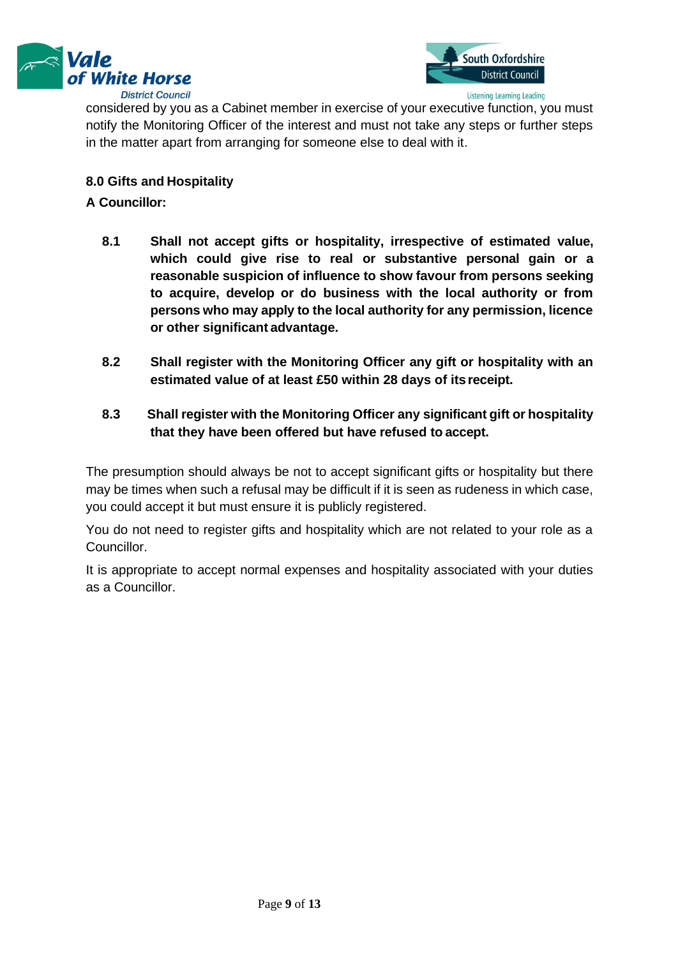



considered by you as a Cabinet member in exercise of your executive function, you must notify the Monitoring Officer of the interest and must not take any steps or further steps in the matter apart from arranging for someone else to deal with it.

## **8.0 Gifts and Hospitality**

### **A Councillor:**

- **8.1 Shall not accept gifts or hospitality, irrespective of estimated value, which could give rise to real or substantive personal gain or a reasonable suspicion of influence to show favour from persons seeking to acquire, develop or do business with the local authority or from persons who may apply to the local authority for any permission, licence or other significant advantage.**
- **8.2 Shall register with the Monitoring Officer any gift or hospitality with an estimated value of at least £50 within 28 days of itsreceipt.**

# **8.3 Shall register with the Monitoring Officer any significant gift or hospitality that they have been offered but have refused to accept.**

The presumption should always be not to accept significant gifts or hospitality but there may be times when such a refusal may be difficult if it is seen as rudeness in which case, you could accept it but must ensure it is publicly registered.

You do not need to register gifts and hospitality which are not related to your role as a Councillor.

It is appropriate to accept normal expenses and hospitality associated with your duties as a Councillor.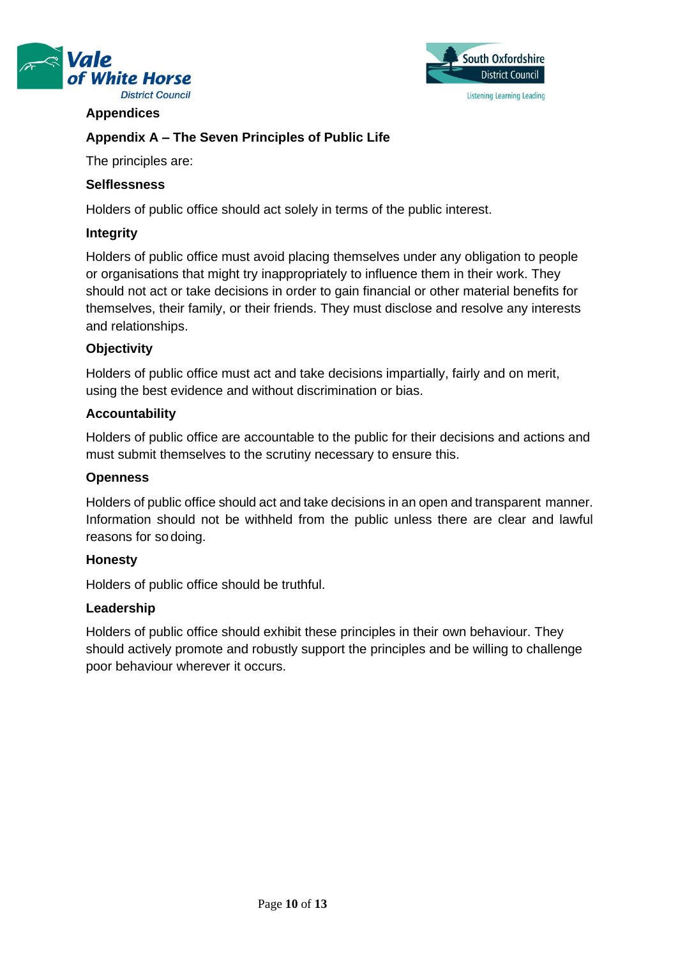



### **Appendices**

# **Appendix A – The Seven Principles of Public Life**

The principles are:

### **Selflessness**

Holders of public office should act solely in terms of the public interest.

### **Integrity**

Holders of public office must avoid placing themselves under any obligation to people or organisations that might try inappropriately to influence them in their work. They should not act or take decisions in order to gain financial or other material benefits for themselves, their family, or their friends. They must disclose and resolve any interests and relationships.

### **Objectivity**

Holders of public office must act and take decisions impartially, fairly and on merit, using the best evidence and without discrimination or bias.

### **Accountability**

Holders of public office are accountable to the public for their decisions and actions and must submit themselves to the scrutiny necessary to ensure this.

### **Openness**

Holders of public office should act and take decisions in an open and transparent manner. Information should not be withheld from the public unless there are clear and lawful reasons for so doing.

#### **Honesty**

Holders of public office should be truthful.

## **Leadership**

Holders of public office should exhibit these principles in their own behaviour. They should actively promote and robustly support the principles and be willing to challenge poor behaviour wherever it occurs.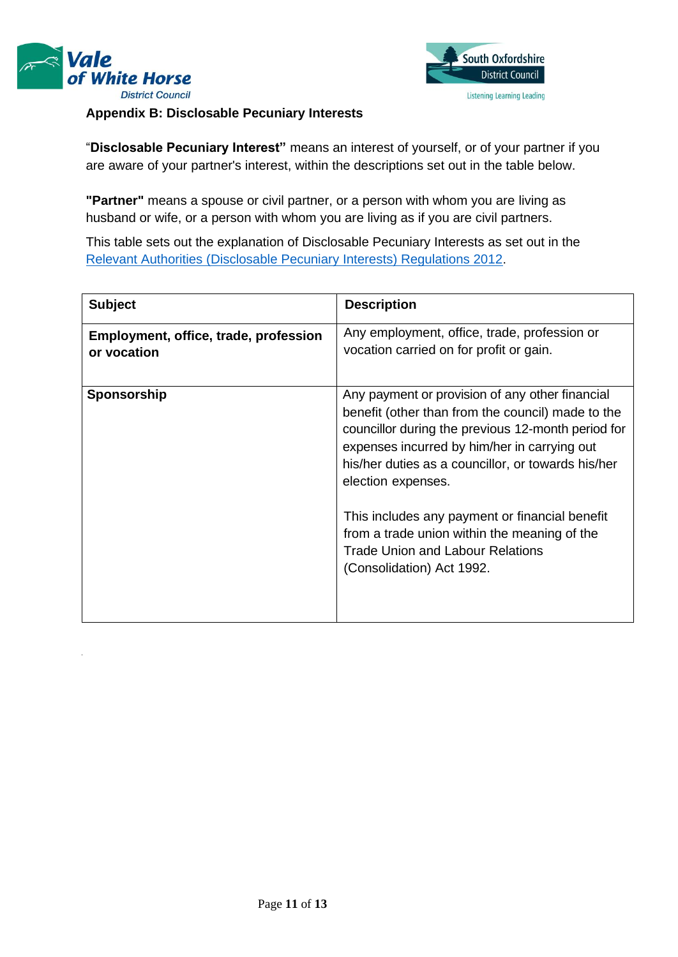



### **Appendix B: Disclosable Pecuniary Interests**

"**Disclosable Pecuniary Interest"** means an interest of yourself, or of your partner if you are aware of your partner's interest, within the descriptions set out in the table below.

**"Partner"** means a spouse or civil partner, or a person with whom you are living as husband or wife, or a person with whom you are living as if you are civil partners.

This table sets out the explanation of Disclosable Pecuniary Interests as set out in the [Relevant Authorities \(Disclosable Pecuniary Interests\) Regulations 2012](https://www.legislation.gov.uk/uksi/2012/1464/made)[.](https://www.legislation.gov.uk/uksi/2012/1464/made)

| <b>Subject</b>                                       | <b>Description</b>                                                                                                                                                                                                                                                                                                                                                                                                                                               |
|------------------------------------------------------|------------------------------------------------------------------------------------------------------------------------------------------------------------------------------------------------------------------------------------------------------------------------------------------------------------------------------------------------------------------------------------------------------------------------------------------------------------------|
| Employment, office, trade, profession<br>or vocation | Any employment, office, trade, profession or<br>vocation carried on for profit or gain.                                                                                                                                                                                                                                                                                                                                                                          |
| Sponsorship                                          | Any payment or provision of any other financial<br>benefit (other than from the council) made to the<br>councillor during the previous 12-month period for<br>expenses incurred by him/her in carrying out<br>his/her duties as a councillor, or towards his/her<br>election expenses.<br>This includes any payment or financial benefit<br>from a trade union within the meaning of the<br><b>Trade Union and Labour Relations</b><br>(Consolidation) Act 1992. |

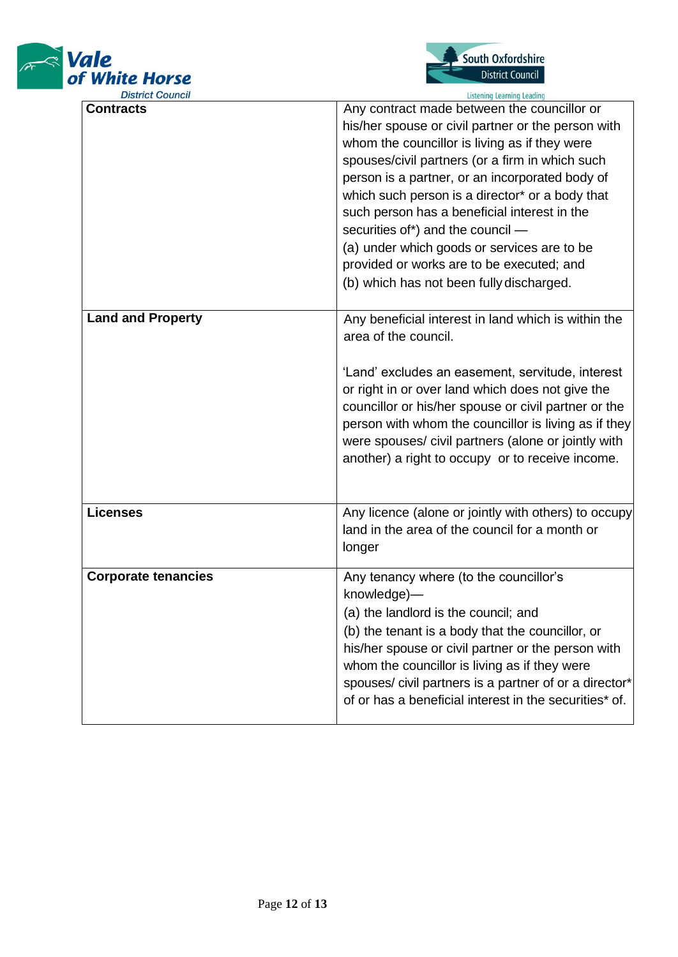



| <b>District Council</b>    | <b>Listening Learning Leading</b>                                                                                                                                                                                                                                                                                                                                                                                                                                                                                                        |
|----------------------------|------------------------------------------------------------------------------------------------------------------------------------------------------------------------------------------------------------------------------------------------------------------------------------------------------------------------------------------------------------------------------------------------------------------------------------------------------------------------------------------------------------------------------------------|
| <b>Contracts</b>           | Any contract made between the councillor or<br>his/her spouse or civil partner or the person with<br>whom the councillor is living as if they were<br>spouses/civil partners (or a firm in which such<br>person is a partner, or an incorporated body of<br>which such person is a director* or a body that<br>such person has a beneficial interest in the<br>securities of*) and the council -<br>(a) under which goods or services are to be<br>provided or works are to be executed; and<br>(b) which has not been fully discharged. |
| <b>Land and Property</b>   | Any beneficial interest in land which is within the<br>area of the council.<br>'Land' excludes an easement, servitude, interest<br>or right in or over land which does not give the<br>councillor or his/her spouse or civil partner or the<br>person with whom the councillor is living as if they<br>were spouses/ civil partners (alone or jointly with<br>another) a right to occupy or to receive income.                                                                                                                           |
| <b>Licenses</b>            | Any licence (alone or jointly with others) to occupy<br>land in the area of the council for a month or<br>longer                                                                                                                                                                                                                                                                                                                                                                                                                         |
| <b>Corporate tenancies</b> | Any tenancy where (to the councillor's<br>knowledge)—<br>(a) the landlord is the council; and<br>(b) the tenant is a body that the councillor, or<br>his/her spouse or civil partner or the person with<br>whom the councillor is living as if they were<br>spouses/ civil partners is a partner of or a director*<br>of or has a beneficial interest in the securities* of.                                                                                                                                                             |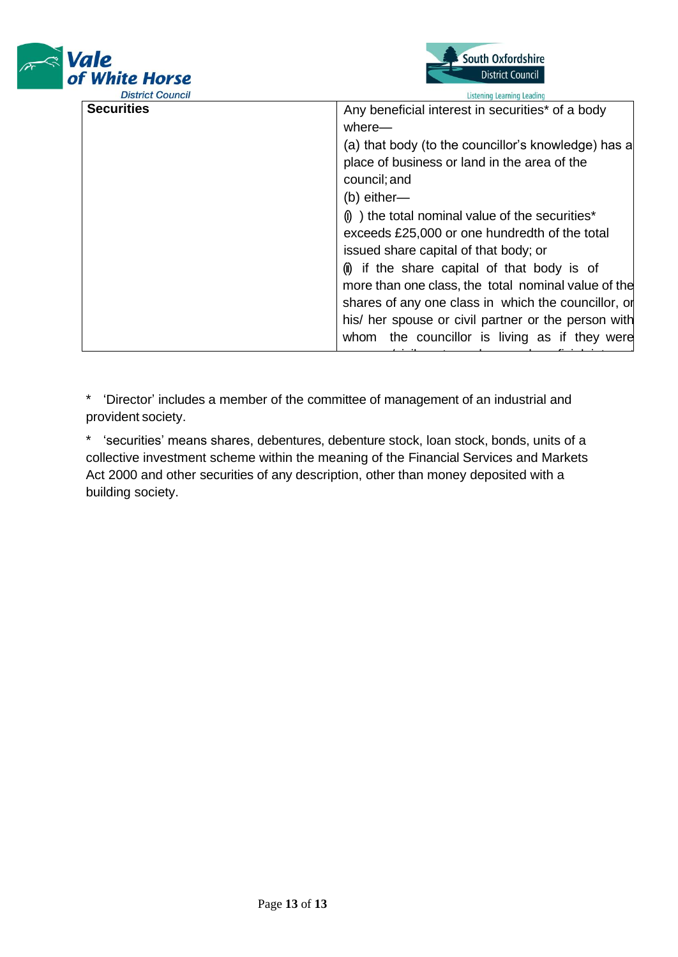



| <b>DISTRICT COUNCIL</b> | Listening Learning Leading                                             |
|-------------------------|------------------------------------------------------------------------|
| <b>Securities</b>       | Any beneficial interest in securities* of a body                       |
|                         | where—                                                                 |
|                         | (a) that body (to the councillor's knowledge) has a                    |
|                         | place of business or land in the area of the                           |
|                         | council; and                                                           |
|                         | $(b)$ either—                                                          |
|                         | $\left( \mathbf{0} \right)$ the total nominal value of the securities* |
|                         | exceeds £25,000 or one hundredth of the total                          |
|                         | issued share capital of that body; or                                  |
|                         | (ii) if the share capital of that body is of                           |
|                         | more than one class, the total nominal value of the                    |
|                         | shares of any one class in which the councillor, or                    |
|                         | his/ her spouse or civil partner or the person with                    |
|                         | whom the councillor is living as if they were                          |
|                         |                                                                        |

capital of the class. \* 'Director' includes a member of the committee of management of an industrial and provident society.

\* 'securities' means shares, debentures, debenture stock, loan stock, bonds, units of a collective investment scheme within the meaning of the Financial Services and Markets Act 2000 and other securities of any description, other than money deposited with a building society.